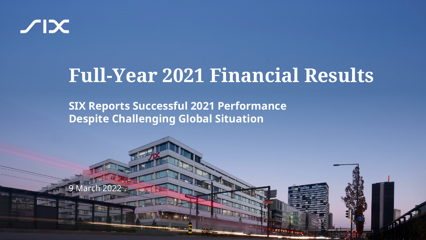

## **Full-Year 2021 Financial Results**

**SIX Reports Successful 2021 Performance Despite Challenging Global Situation**

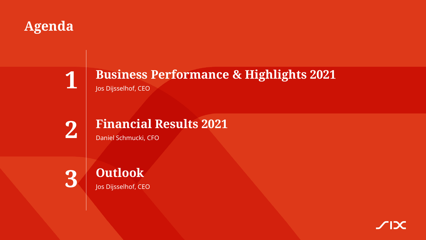## **Agenda**



## **Business Performance & Highlights 2021** Jos Dijsselhof, CEO



## **Financial Results 2021**

Daniel Schmucki, CFO

**3**



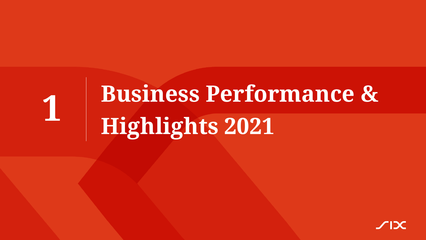## **Business Performance & Highlights 2021 1**

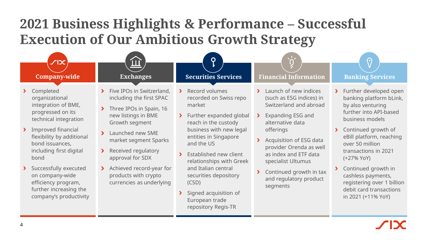## **2021 Business Highlights & Performance – Successful Execution of Our Ambitious Growth Strategy**

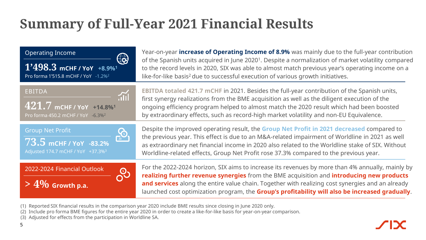## **Summary of Full-Year 2021 Financial Results**

| <b>Operating Income</b><br>$\bigoplus$<br>$1'498.3$ mCHF / YoY +8.9% <sup>1</sup><br>Pro forma 1'515.8 mCHF / YoY -1.2% <sup>2</sup> | Year-on-year increase of Operating Income of 8.9% was mainly due to the full-year contribution<br>of the Spanish units acquired in June 2020 <sup>1</sup> . Despite a normalization of market volatility compared<br>to the record levels in 2020, SIX was able to almost match previous year's operating income on a<br>like-for-like basis <sup>2</sup> due to successful execution of various growth initiatives. |
|--------------------------------------------------------------------------------------------------------------------------------------|----------------------------------------------------------------------------------------------------------------------------------------------------------------------------------------------------------------------------------------------------------------------------------------------------------------------------------------------------------------------------------------------------------------------|
| <b>EBITDA</b><br>$421.7$ mCHF / YoY +14.8% <sup>1</sup><br>Pro forma 450.2 mCHF / YoY -6.3% <sup>2</sup>                             | EBITDA totaled 421.7 mCHF in 2021. Besides the full-year contribution of the Spanish units,<br>first synergy realizations from the BME acquisition as well as the diligent execution of the<br>ongoing efficiency program helped to almost match the 2020 result which had been boosted<br>by extraordinary effects, such as record-high market volatility and non-EU Equivalence.                                   |
| <b>Group Net Profit</b><br>73.5 mCHF / YoY -83.2%<br>Adjusted 174.7 mCHF / YoY +37.3% <sup>3</sup>                                   | Despite the improved operating result, the Group Net Profit in 2021 decreased compared to<br>the previous year. This effect is due to an M&A-related impairment of Worldline in 2021 as well<br>as extraordinary net financial income in 2020 also related to the Worldline stake of SIX. Without<br>Worldline-related effects, Group Net Profit rose 37.3% compared to the previous year.                           |
| 2022-2024 Financial Outlook<br><b>Q</b><br>$>4\%$ Growth p.a.                                                                        | For the 2022-2024 horizon, SIX aims to increase its revenues by more than 4% annually, mainly by<br>realizing further revenue synergies from the BME acquisition and introducing new products<br>and services along the entire value chain. Together with realizing cost synergies and an already<br>launched cost optimization program, the Group's profitability will also be increased gradually.                 |

- (1) Reported SIX financial results in the comparison year 2020 include BME results since closing in June 2020 only.
- (2) Include pro forma BME figures for the entire year 2020 in order to create a like-for-like basis for year-on-year comparison.
- (3) Adjusted for effects from the participation in Worldline SA.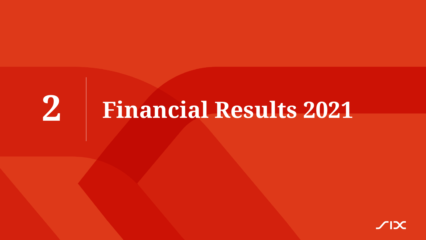## **Financial Results 2021**

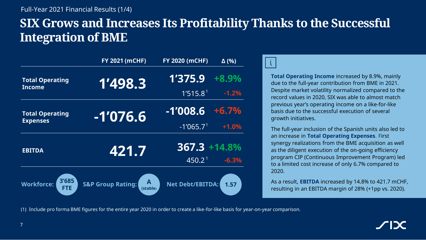## **SIX Grows and Increases Its Profitability Thanks to the Successful Integration of BME**

|                                          | <b>FY 2021 (MCHF)</b>                        | <b>FY 2020 (mCHF)</b>   | $\Delta$ (%) |
|------------------------------------------|----------------------------------------------|-------------------------|--------------|
| <b>Total Operating</b><br>Income         | 1'498.3                                      | 1'375.9                 | $+8.9%$      |
|                                          |                                              | 1'515.8 <sup>1</sup>    | $-1.2%$      |
| <b>Total Operating</b>                   | $-1'076.6$                                   | $-1'008.6$              | $+6.7%$      |
| <b>Expenses</b>                          |                                              | $-1'065.7$ <sup>1</sup> | $+1.0%$      |
| <b>EBITDA</b>                            | 421.7                                        | $367.3 + 14.8\%$        |              |
|                                          |                                              | 450.2 <sup>1</sup>      | $-6.3%$      |
| 3'685<br><b>Workforce:</b><br><b>FTE</b> | A<br><b>S&amp;P Group Rating:</b><br>(stable | <b>Net Debt/EBITDA:</b> | 1.57         |



**Total Operating Income** increased by 8.9%, mainly due to the full-year contribution from BME in 2021. Despite market volatility normalized compared to the record values in 2020, SIX was able to almost match previous year's operating income on a like-for-like basis due to the successful execution of several growth initiatives.

The full-year inclusion of the Spanish units also led to an increase in **Total Operating Expenses**. First synergy realizations from the BME acquisition as well as the diligent execution of the on-going efficiency program CIP (Continuous Improvement Program) led to a limited cost increase of only 6.7% compared to 2020.

As a result, **EBITDA** increased by 14.8% to 421.7 mCHF, resulting in an EBITDA margin of 28% (+1pp vs. 2020).

(1) Include pro forma BME figures for the entire year 2020 in order to create a like-for-like basis for year-on-year comparison.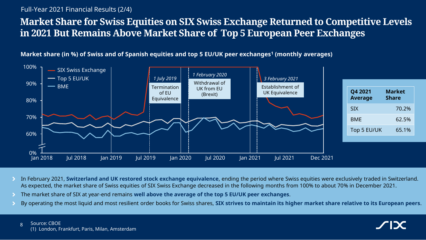#### Full-Year 2021 Financial Results (2/4)

### **Market Share for Swiss Equities on SIX Swiss Exchange Returned to Competitive Levels in 2021 But Remains Above Market Share of Top 5 European Peer Exchanges**

**Market share (in %) of Swiss and of Spanish equities and top 5 EU/UK peer exchanges<sup>1</sup> (monthly averages)**



- In February 2021, **Switzerland and UK restored stock exchange equivalence**, ending the period where Swiss equities were exclusively traded in Switzerland. As expected, the market share of Swiss equities of SIX Swiss Exchange decreased in the following months from 100% to about 70% in December 2021.
- The market share of SIX at year-end remains **well above the average of the top 5 EU/UK peer exchanges**.
- By operating the most liquid and most resilient order books for Swiss shares, **SIX strives to maintain its higher market share relative to its European peers**.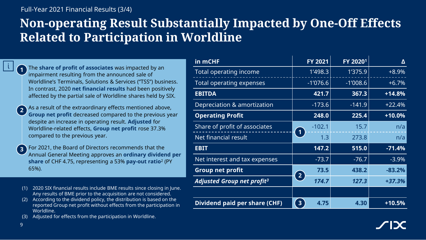#### Full-Year 2021 Financial Results (3/4)

## **Non-operating Result Substantially Impacted by One-Off Effects Related to Participation in Worldline**

The **share of profit of associates** was impacted by an impairment resulting from the announced sale of Worldline's Terminals, Solutions & Services ("TSS") business. In contrast, 2020 **net financial results** had been positively affected by the partial sale of Worldline shares held by SIX. **1**

As a result of the extraordinary effects mentioned above, **Group net profit** decreased compared to the previous year despite an increase in operating result. **Adjusted** for Worldline-related effects, **Group net profit** rose 37.3% compared to the previous year. **2**

For 2021, the Board of Directors recommends that the Annual General Meeting approves an **ordinary dividend per share** of CHF 4.75, representing a 53% **pay-out ratio**<sup>2</sup> (PY 65%). **3**

- (1) 2020 SIX financial results include BME results since closing in June. Any results of BME prior to the acquisition are not considered.
- (2) According to the dividend policy, the distribution is based on the reported Group net profit without effects from the participation in Worldline.
- Adjusted for effects from the participation in Worldline.

| in mCHF                                | FY 2021                    | FY 20201   | Δ        |
|----------------------------------------|----------------------------|------------|----------|
| Total operating income                 | 1'498.3                    | 1'375.9    | $+8.9%$  |
| Total operating expenses               | $-1'076.6$                 | $-1'008.6$ | $+6.7%$  |
| <b>EBITDA</b>                          | 421.7                      | 367.3      | $+14.8%$ |
| Depreciation & amortization            | $-173.6$                   | $-141.9$   | $+22.4%$ |
| <b>Operating Profit</b>                | 248.0                      | 225.4      | $+10.0%$ |
| Share of profit of associates          | $-102.1$                   | 15.7       | n/a      |
| Net financial result                   | $\vert$ 1<br>1.3           | 273.8      | n/a      |
| <b>EBIT</b>                            | 147.2                      | 515.0      | $-71.4%$ |
| Net interest and tax expenses          | $-73.7$                    | $-76.7$    | $-3.9%$  |
| <b>Group net profit</b>                | 73.5                       | 438.2      | $-83.2%$ |
| Adjusted Group net profit <sup>3</sup> | $\left( 2\right)$<br>174.7 | 127.3      | $+37.3%$ |
|                                        |                            |            |          |
| Dividend paid per share (CHF)          | 3 <sup>1</sup><br>4.75     | 4.30       | $+10.5%$ |

9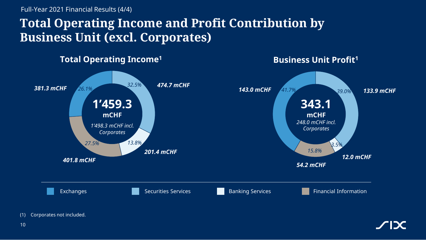Full-Year 2021 Financial Results (4/4)

## **Total Operating Income and Profit Contribution by Business Unit (excl. Corporates)**



(1) Corporates not included.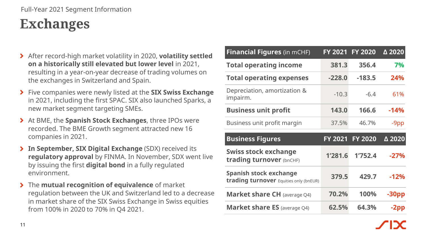#### Full-Year 2021 Segment Information

## **Exchanges**

- After record-high market volatility in 2020, **volatility settled on a historically still elevated but lower level** in 2021, resulting in a year-on-year decrease of trading volumes on the exchanges in Switzerland and Spain.
- Five companies were newly listed at the **SIX Swiss Exchange**  in 2021, including the first SPAC. SIX also launched Sparks, a new market segment targeting SMEs.
- At BME, the **Spanish Stock Exchanges**, three IPOs were recorded. The BME Growth segment attracted new 16 companies in 2021.
- **In September, SIX Digital Exchange** (SDX) received its **regulatory approval** by FINMA. In November, SDX went live by issuing the first **digital bond** in a fully regulated environment.
- The **mutual recognition of equivalence** of market regulation between the UK and Switzerland led to a decrease in market share of the SIX Swiss Exchange in Swiss equities from 100% in 2020 to 70% in Q4 2021.

| <b>Financial Figures (in mCHF)</b>                               |                | FY 2021 FY 2020 | $\Delta$ 2020 |
|------------------------------------------------------------------|----------------|-----------------|---------------|
| <b>Total operating income</b>                                    | 381.3          | 356.4           | 7%            |
| <b>Total operating expenses</b>                                  | $-228.0$       | $-183.5$        | 24%           |
| Depreciation, amortization &<br>impairm.                         | $-10.3$        | $-6.4$          | 61%           |
| <b>Business unit profit</b>                                      | 143.0          | 166.6           | $-14%$        |
| Business unit profit margin                                      | 37.5%          | 46.7%           | -9pp          |
|                                                                  |                |                 |               |
| <b>Business Figures</b>                                          | <b>FY 2021</b> | <b>FY 2020</b>  | △ 2020        |
| <b>Swiss stock exchange</b><br>trading turnover (bnCHF)          | 1'281.6        | 1'752.4         | $-27%$        |
| Spanish stock exchange<br>trading turnover Equities only (bnEUR) | 379.5          | 429.7           | $-12%$        |
| <b>Market share CH</b> (average Q4)                              | 70.2%          | 100%            | $-30pp$       |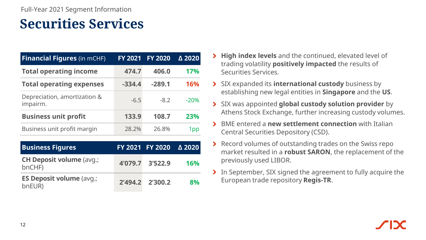## **Securities Services**

| <b>Financial Figures (in mCHF)</b>        | <b>FY 2021</b>                                            | <b>FY 2020</b> | △ 2020     |
|-------------------------------------------|-----------------------------------------------------------|----------------|------------|
| <b>Total operating income</b>             | 474.7                                                     | 406.0          | <b>17%</b> |
| <b>Total operating expenses</b>           | $-334.4$                                                  | $-289.1$       | 16%        |
| Depreciation, amortization &<br>impairm.  | $-6.5$                                                    | $-8.2$         | $-20%$     |
| <b>Business unit profit</b>               | 133.9                                                     | 108.7          | 23%        |
| Business unit profit margin               | 28.2%                                                     | 26.8%          | 1pp        |
| <b>Business Figures</b>                   | <b>FY 2021</b>                                            | <b>FY 2020</b> | △ 2020     |
| <b>CH Deposit volume (avg.;</b><br>bnCHF) | 4'079.7                                                   | 3'522.9        | 16%        |
| <b>ES Deposit volume (avg.;</b>           | $\begin{array}{c} \bigcap A \cap A & \bigcap \end{array}$ | ר ההרור        | on/        |

bnEUR) **2'494.2 2'300.2 8%**

| > High index levels and the continued, elevated level of     |
|--------------------------------------------------------------|
| trading volatility <b>positively impacted</b> the results of |
| Securities Services.                                         |

- SIX expanded its **international custody** business by establishing new legal entities in **Singapore** and the **US**.
- SIX was appointed **global custody solution provider** by Athens Stock Exchange, further increasing custody volumes.
- BME entered a **new settlement connection** with Italian Central Securities Depository (CSD).
- ▶ Record volumes of outstanding trades on the Swiss repo market resulted in a **robust SARON**, the replacement of the previously used LIBOR.
- In September, SIX signed the agreement to fully acquire the European trade repository **Regis-TR**.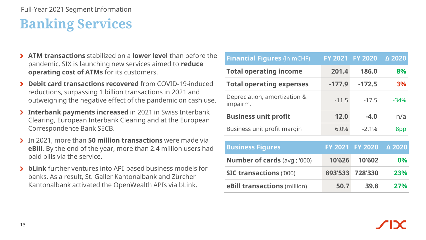#### Full-Year 2021 Segment Information

## **Banking Services**

- **ATM transactions** stabilized on a **lower level** than before the pandemic. SIX is launching new services aimed to **reduce operating cost of ATMs** for its customers.
- **Debit card transactions recovered** from COVID-19-induced reductions, surpassing 1 billion transactions in 2021 and outweighing the negative effect of the pandemic on cash use.
- **Interbank payments increased** in 2021 in Swiss Interbank Clearing, European Interbank Clearing and at the European Correspondence Bank SECB.
- In 2021, more than **50 million transactions** were made via **eBill**. By the end of the year, more than 2.4 million users had paid bills via the service.
- **bLink** further ventures into API-based business models for banks. As a result, St. Galler Kantonalbank and Zürcher Kantonalbank activated the OpenWealth APIs via bLink.

| <b>Financial Figures (in mCHF)</b>       | FY 2021 FY 2020 |                 | △ 2020    |
|------------------------------------------|-----------------|-----------------|-----------|
| <b>Total operating income</b>            | 201.4           | 186.0           | 8%        |
| <b>Total operating expenses</b>          | $-177.9$        | $-172.5$        | <b>3%</b> |
| Depreciation, amortization &<br>impairm. | $-11.5$         | $-17.5$         | $-34%$    |
| <b>Business unit profit</b>              | 12.0            | $-4.0$          | n/a       |
| Business unit profit margin              | 6.0%            | $-2.1%$         | 8pp       |
|                                          |                 |                 |           |
| <b>Business Figures</b>                  |                 | FY 2021 FY 2020 | △ 2020    |
| <b>Number of cards (avg.; '000)</b>      | 10'626          | 10'602          | 0%        |
| <b>SIC transactions ('000)</b>           |                 | 893'533 728'330 | 23%       |
| eBill transactions (million)             | 50.7            | 39.8            | 27%       |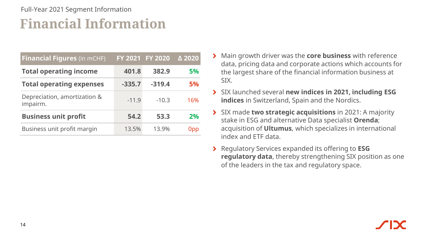### **Financial Information** Full-Year 2021 Segment Information

| <b>Financial Figures (in mCHF)</b>       |          | FY 2021 FY 2020 | △ 2020    |
|------------------------------------------|----------|-----------------|-----------|
| <b>Total operating income</b>            | 401.8    | 382.9           | <b>5%</b> |
| <b>Total operating expenses</b>          | $-335.7$ | $-319.4$        | <b>5%</b> |
| Depreciation, amortization &<br>impairm. | $-11.9$  | $-10.3$         | 16%       |
| <b>Business unit profit</b>              | 54.2     | 53.3            | 2%        |
| Business unit profit margin              | 13.5%    | 13.9%           | 0pp       |

- Main growth driver was the **core business** with reference data, pricing data and corporate actions which accounts for the largest share of the financial information business at SIX.
- SIX launched several **new indices in 2021, including ESG indices** in Switzerland, Spain and the Nordics.
- SIX made **two strategic acquisitions** in 2021: A majority stake in ESG and alternative Data specialist **Orenda**; acquisition of **Ultumus**, which specializes in international index and ETF data.
- Regulatory Services expanded its offering to **ESG regulatory data**, thereby strengthening SIX position as one of the leaders in the tax and regulatory space.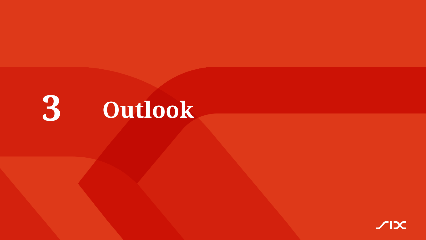

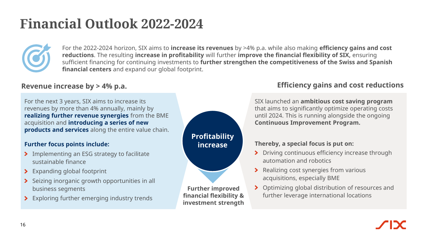## **Financial Outlook 2022-2024**



For the 2022-2024 horizon, SIX aims to **increase its revenues** by >4% p.a. while also making **efficiency gains and cost reductions**. The resulting **increase in profitability** will further **improve the financial flexibility of SIX,** ensuring sufficient financing for continuing investments to **further strengthen the competitiveness of the Swiss and Spanish financial centers** and expand our global footprint.

For the next 3 years, SIX aims to increase its revenues by more than 4% annually, mainly by **realizing further revenue synergies** from the BME acquisition and **introducing a series of new products and services** along the entire value chain.

#### **Further focus points include:**

- > Implementing an ESG strategy to facilitate sustainable finance
- > Expanding global footprint
- Seizing inorganic growth opportunities in all business segments
- > Exploring further emerging industry trends



**financial flexibility & investment strength**

#### **Revenue increase by > 4% p.a. Efficiency gains and cost reductions**

SIX launched an **ambitious cost saving program**  that aims to significantly optimize operating costs until 2024. This is running alongside the ongoing **Continuous Improvement Program.**

#### **Thereby, a special focus is put on:**

- > Driving continuous efficiency increase through automation and robotics
- **>** Realizing cost synergies from various acquisitions, especially BME
- > Optimizing global distribution of resources and further leverage international locations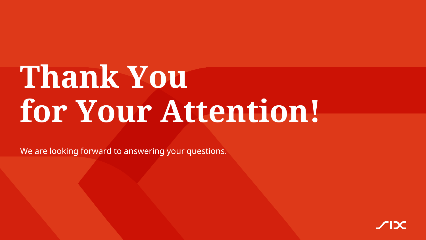# **Thank You for Your Attention!**

We are looking forward to answering your questions.